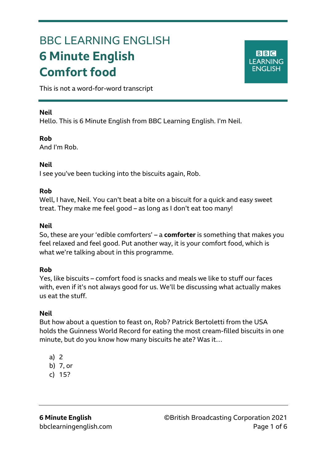# BBC LEARNING ENGLISH **6 Minute English Comfort food**

**BBC LEARNING ENGLISH** 

This is not a word-for-word transcript

#### **Neil**

Ξ

Hello. This is 6 Minute English from BBC Learning English. I'm Neil.

#### **Rob**

And I'm Rob.

#### **Neil**

I see you've been tucking into the biscuits again, Rob.

#### **Rob**

Well, I have, Neil. You can't beat a bite on a biscuit for a quick and easy sweet treat. They make me feel good – as long as I don't eat too many!

#### **Neil**

So, these are your 'edible comforters' – a **comforter** is something that makes you feel relaxed and feel good. Put another way, it is your comfort food, which is what we're talking about in this programme.

#### **Rob**

Yes, like biscuits – comfort food is snacks and meals we like to stuff our faces with, even if it's not always good for us. We'll be discussing what actually makes us eat the stuff.

#### **Neil**

But how about a question to feast on, Rob? Patrick Bertoletti from the USA holds the Guinness World Record for eating the most cream-filled biscuits in one minute, but do you know how many biscuits he ate? Was it…

- a) 2
- b) 7, or
- c) 15?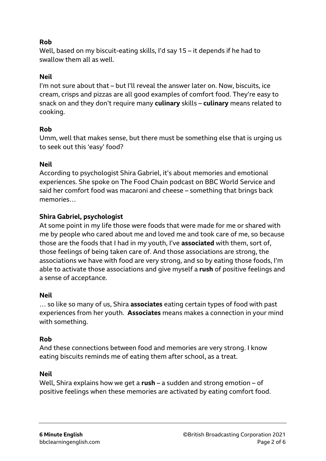## **Rob**

Well, based on my biscuit-eating skills, I'd say 15 – it depends if he had to swallow them all as well.

## **Neil**

I'm not sure about that – but I'll reveal the answer later on. Now, biscuits, ice cream, crisps and pizzas are all good examples of comfort food. They're easy to snack on and they don't require many **culinary** skills – **culinary** means related to cooking.

## **Rob**

Umm, well that makes sense, but there must be something else that is urging us to seek out this 'easy' food?

## **Neil**

According to psychologist Shira Gabriel, it's about memories and emotional experiences. She spoke on The Food Chain podcast on BBC World Service and said her comfort food was macaroni and cheese – something that brings back memories…

## **Shira Gabriel, psychologist**

At some point in my life those were foods that were made for me or shared with me by people who cared about me and loved me and took care of me, so because those are the foods that I had in my youth, I've **associated** with them, sort of, those feelings of being taken care of. And those associations are strong, the associations we have with food are very strong, and so by eating those foods, I'm able to activate those associations and give myself a **rush** of positive feelings and a sense of acceptance.

## **Neil**

… so like so many of us, Shira **associates** eating certain types of food with past experiences from her youth. **Associates** means makes a connection in your mind with something.

## **Rob**

And these connections between food and memories are very strong. I know eating biscuits reminds me of eating them after school, as a treat.

## **Neil**

Well, Shira explains how we get a **rush** – a sudden and strong emotion – of positive feelings when these memories are activated by eating comfort food.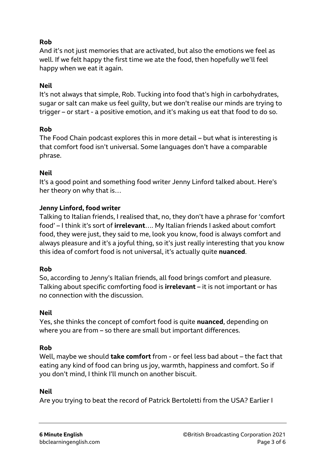## **Rob**

And it's not just memories that are activated, but also the emotions we feel as well. If we felt happy the first time we ate the food, then hopefully we'll feel happy when we eat it again.

## **Neil**

It's not always that simple, Rob. Tucking into food that's high in carbohydrates, sugar or salt can make us feel guilty, but we don't realise our minds are trying to trigger – or start - a positive emotion, and it's making us eat that food to do so.

## **Rob**

The Food Chain podcast explores this in more detail – but what is interesting is that comfort food isn't universal. Some languages don't have a comparable phrase.

#### **Neil**

It's a good point and something food writer Jenny Linford talked about. Here's her theory on why that is…

#### **Jenny Linford, food writer**

Talking to Italian friends, I realised that, no, they don't have a phrase for 'comfort food' – I think it's sort of **irrelevant**…. My Italian friends I asked about comfort food, they were just, they said to me, look you know, food is always comfort and always pleasure and it's a joyful thing, so it's just really interesting that you know this idea of comfort food is not universal, it's actually quite **nuanced**.

## **Rob**

So, according to Jenny's Italian friends, all food brings comfort and pleasure. Talking about specific comforting food is **irrelevant** – it is not important or has no connection with the discussion.

#### **Neil**

Yes, she thinks the concept of comfort food is quite **nuanced**, depending on where you are from – so there are small but important differences.

#### **Rob**

Well, maybe we should **take comfort** from - or feel less bad about – the fact that eating any kind of food can bring us joy, warmth, happiness and comfort. So if you don't mind, I think I'll munch on another biscuit.

#### **Neil**

Are you trying to beat the record of Patrick Bertoletti from the USA? Earlier I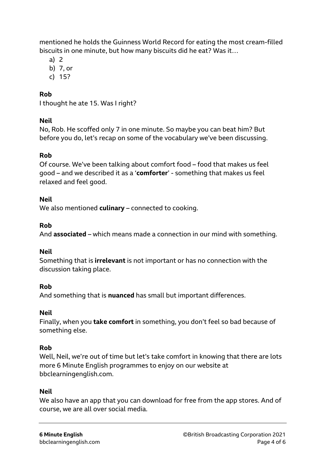mentioned he holds the Guinness World Record for eating the most cream-filled biscuits in one minute, but how many biscuits did he eat? Was it…

- a) 2
- b) 7, or
- c) 15?

## **Rob**

I thought he ate 15. Was I right?

## **Neil**

No, Rob. He scoffed only 7 in one minute. So maybe you can beat him? But before you do, let's recap on some of the vocabulary we've been discussing.

## **Rob**

Of course. We've been talking about comfort food – food that makes us feel good – and we described it as a '**comforter**' - something that makes us feel relaxed and feel good.

## **Neil**

We also mentioned **culinary** – connected to cooking.

## **Rob**

And **associated** – which means made a connection in our mind with something.

## **Neil**

Something that is **irrelevant** is not important or has no connection with the discussion taking place.

## **Rob**

And something that is **nuanced** has small but important differences.

## **Neil**

Finally, when you **take comfort** in something, you don't feel so bad because of something else.

## **Rob**

Well, Neil, we're out of time but let's take comfort in knowing that there are lots more 6 Minute English programmes to enjoy on our website at bbclearningenglish.com.

## **Neil**

We also have an app that you can download for free from the app stores. And of course, we are all over social media.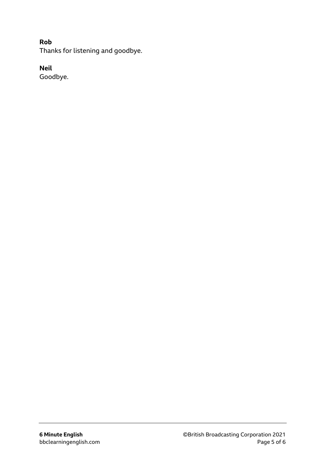## **Rob**

Thanks for listening and goodbye.

## **Neil**

Goodbye.